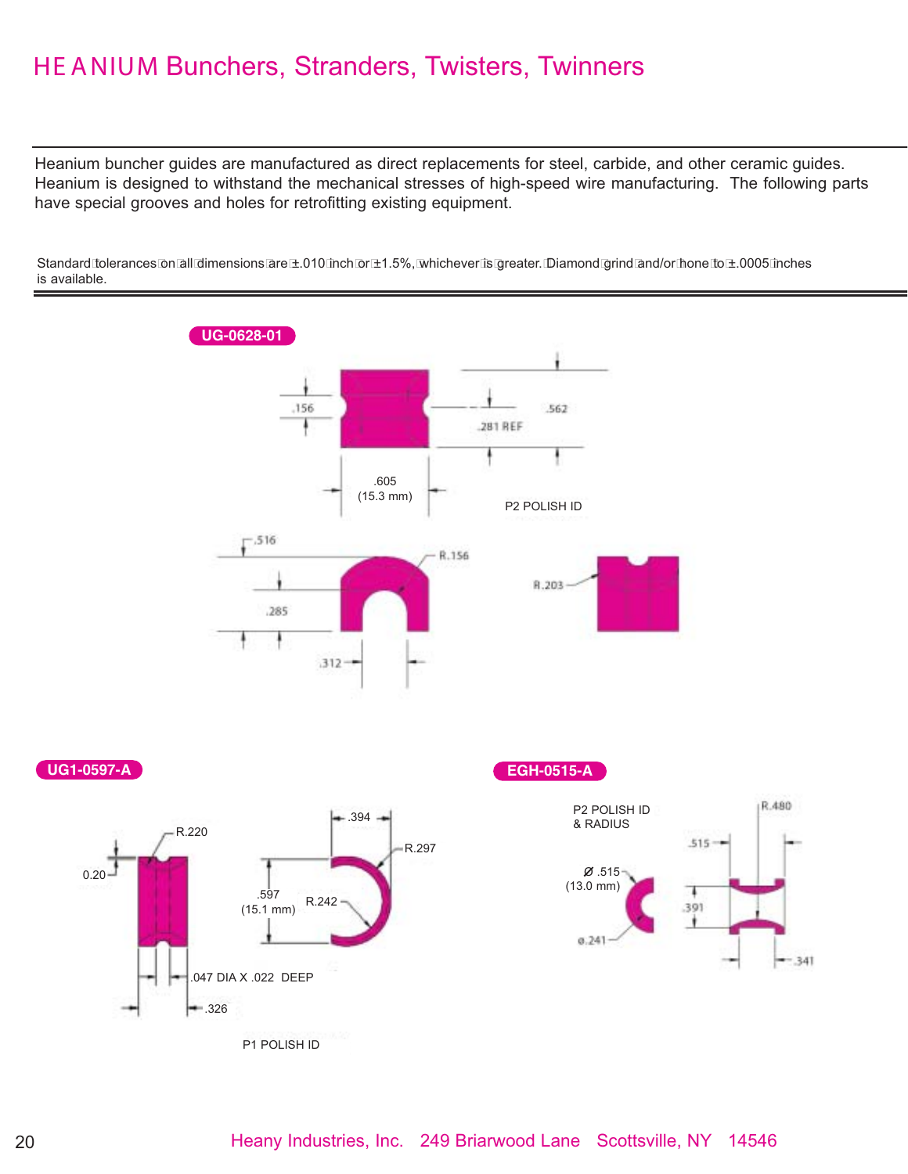## HE ANIUM Bunchers, Stranders, Twisters, Twinners

Heanium buncher guides are manufactured as direct replacements for steel, carbide, and other ceramic guides. Heanium is designed to withstand the mechanical stresses of high-speed wire manufacturing. The following parts have special grooves and holes for retrofitting existing equipment.



Standard tolerances on all dimensions are ±.010 inch or ±1.5%, whichever is greater. Diamond grind and/or hone to ±.0005 inches is available.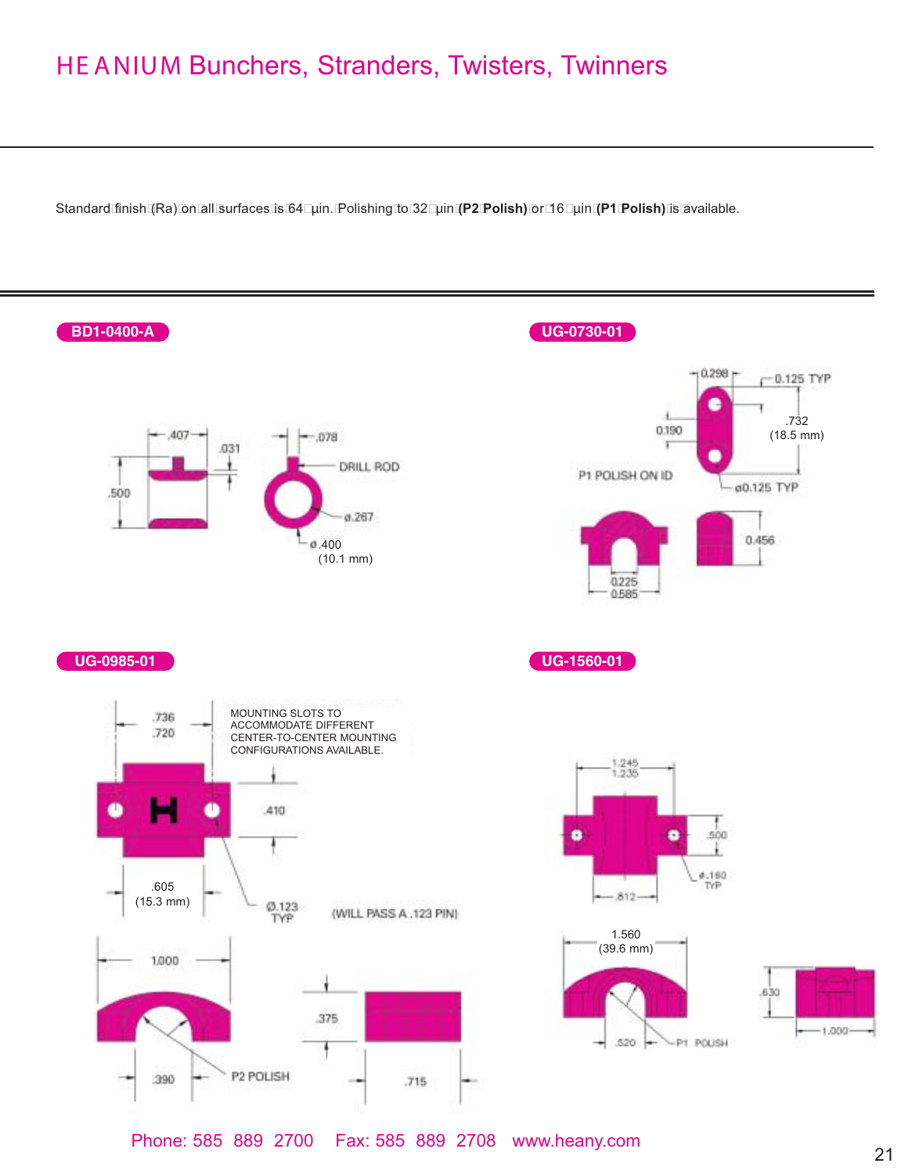## HE ANIUM Bunchers, Stranders, Twisters, Twinners

Standard finish (Ra) on all surfaces is 64 µin. Polishing to 32 µin **(P2 Polish)** or 16 µin **(P1 Polish)** is available.



<sup>21</sup> Phone: 585 889 2700 Fax: 585 889 2708 www.heany.com